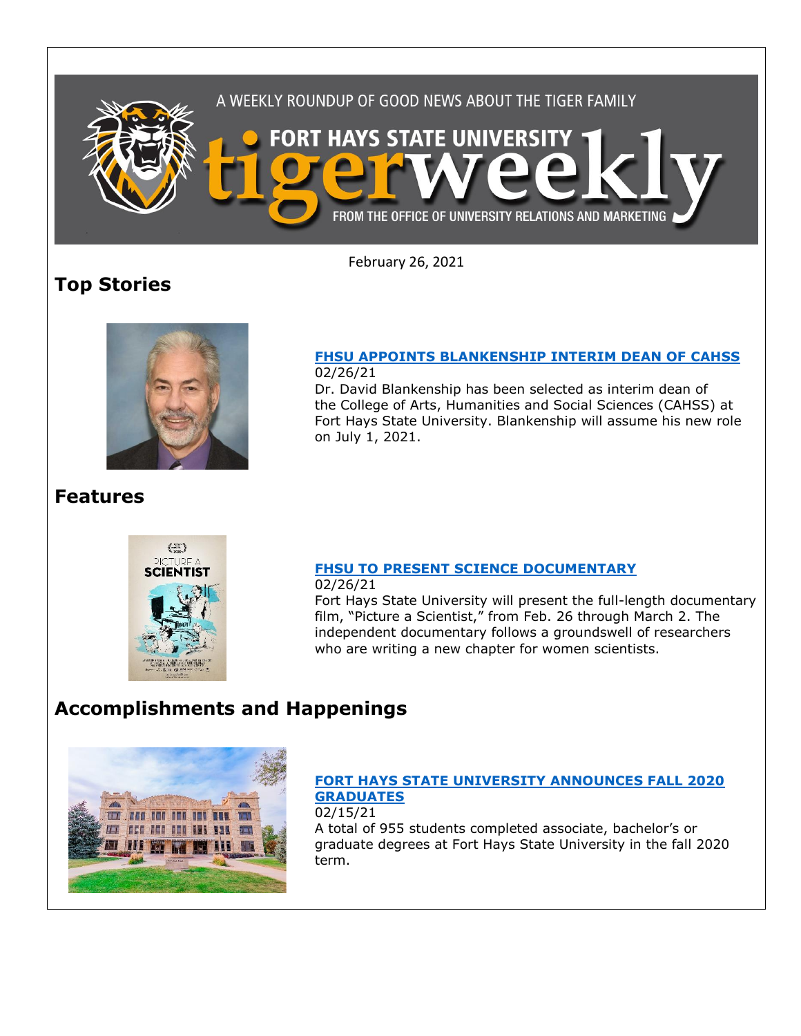

February 26, 2021

# **Top Stories**



#### **[FHSU APPOINTS BLANKENSHIP INTERIM DEAN OF](https://fhsu.edu/news/2021/02/fhsu-appoints-blankenship-interim-dean-of-cahss) CAHSS** 02/26/21

Dr. David Blankenship has been selected as interim dean of the College of Arts, Humanities and Social Sciences (CAHSS) at Fort Hays State University. Blankenship will assume his new role on July 1, 2021.

## **Features**



### **[FHSU TO PRESENT SCIENCE DOCUMENTARY](https://fhsu.edu/news/2021/02/fhsu-to-present-science-documentary)**

02/26/21 Fort Hays State University will present the full-length documentary film, "Picture a Scientist," from Feb. 26 through March 2. The independent documentary follows a groundswell of researchers who are writing a new chapter for women scientists.

## **Accomplishments and Happenings**



### **[FORT HAYS STATE UNIVERSITY ANNOUNCES FALL 2020](https://fhsu.edu/news/2021/02/fort-hays-state-university-announces-fall-2020-graduates)  [GRADUATES](https://fhsu.edu/news/2021/02/fort-hays-state-university-announces-fall-2020-graduates)** 02/15/21

A total of 955 students completed associate, bachelor's or graduate degrees at Fort Hays State University in the fall 2020 term.